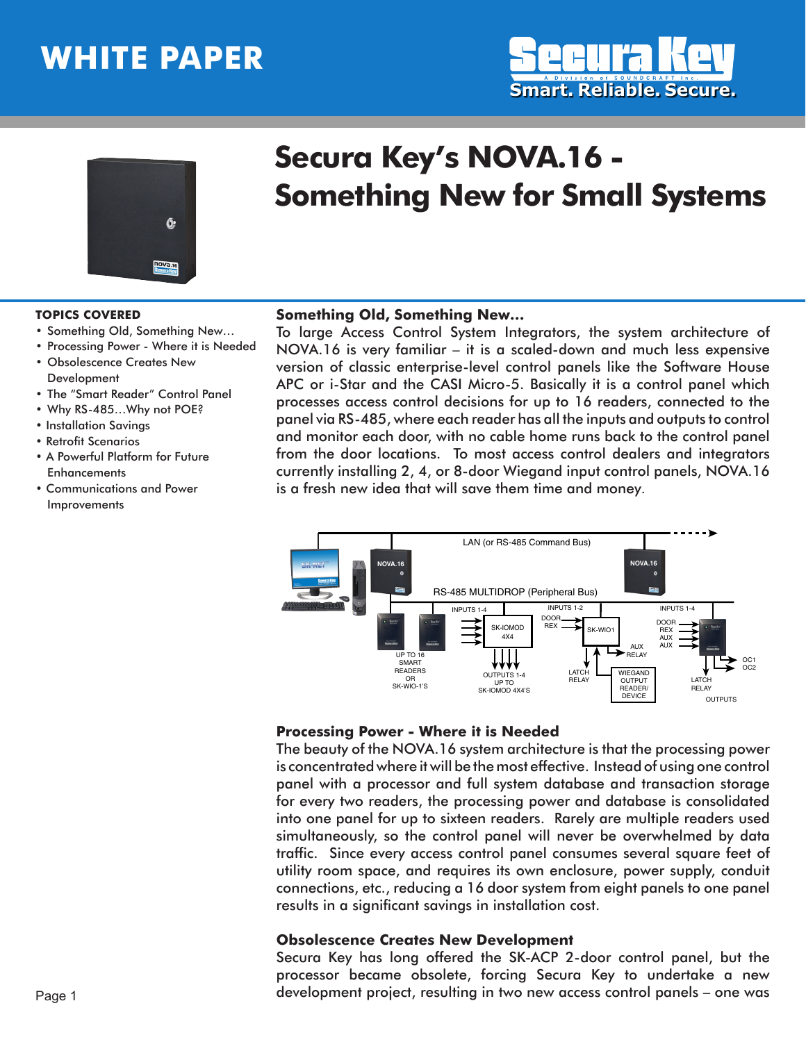# **WHITE PAPER**





# **Secura Key's NOVA.16 - Something New for Small Systems**

#### **TOPICS COVERED**

- • Something Old, Something New…
- • Processing Power Where it is Needed
- • Obsolescence Creates New **Development**
- The "Smart Reader" Control Panel
- Why RS-485... Why not POE?
- Installation Savings
- Retrofit Scenarios
- A Powerful Platform for Future **Enhancements**
- Communications and Power Improvements

#### **Something Old, Something New…**

To large Access Control System Integrators, the system architecture of NOVA.16 is very familiar – it is a scaled-down and much less expensive version of classic enterprise-level control panels like the Software House APC or i-Star and the CASI Micro-5. Basically it is a control panel which processes access control decisions for up to 16 readers, connected to the panel via RS-485, where each reader has all the inputs and outputs to control and monitor each door, with no cable home runs back to the control panel from the door locations. To most access control dealers and integrators currently installing 2, 4, or 8-door Wiegand input control panels, NOVA.16 is a fresh new idea that will save them time and money.



#### **Processing Power - Where it is Needed**

The beauty of the NOVA.16 system architecture is that the processing power is concentrated where it will be the most effective. Instead of using one control panel with a processor and full system database and transaction storage for every two readers, the processing power and database is consolidated into one panel for up to sixteen readers. Rarely are multiple readers used simultaneously, so the control panel will never be overwhelmed by data traffic. Since every access control panel consumes several square feet of utility room space, and requires its own enclosure, power supply, conduit connections, etc., reducing a 16 door system from eight panels to one panel results in a significant savings in installation cost.

### **Obsolescence Creates New Development**

Secura Key has long offered the SK-ACP 2-door control panel, but the processor became obsolete, forcing Secura Key to undertake a new development project, resulting in two new access control panels – one was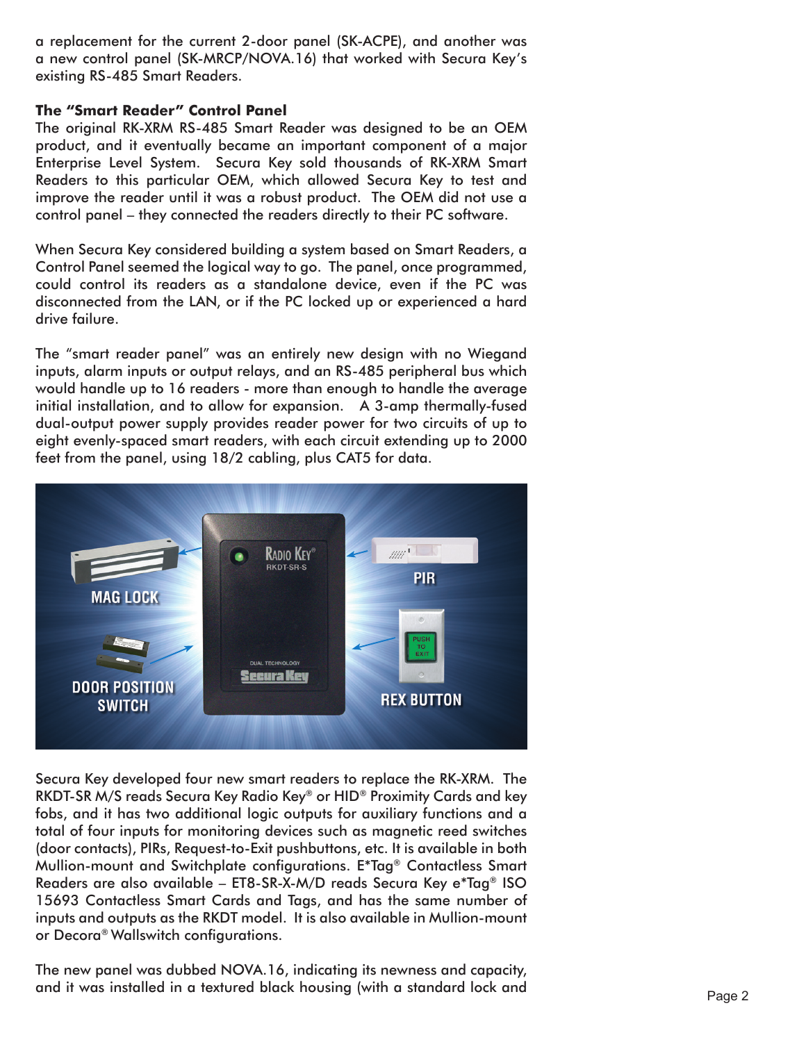a replacement for the current 2-door panel (SK-ACPE), and another was a new control panel (SK-MRCP/NOVA.16) that worked with Secura Key's existing RS-485 Smart Readers.

## **The "Smart Reader" Control Panel**

The original RK-XRM RS-485 Smart Reader was designed to be an OEM product, and it eventually became an important component of a major Enterprise Level System. Secura Key sold thousands of RK-XRM Smart Readers to this particular OEM, which allowed Secura Key to test and improve the reader until it was a robust product. The OEM did not use a control panel – they connected the readers directly to their PC software.

When Secura Key considered building a system based on Smart Readers, a Control Panel seemed the logical way to go. The panel, once programmed, could control its readers as a standalone device, even if the PC was disconnected from the LAN, or if the PC locked up or experienced a hard drive failure.

The "smart reader panel" was an entirely new design with no Wiegand inputs, alarm inputs or output relays, and an RS-485 peripheral bus which would handle up to 16 readers - more than enough to handle the average initial installation, and to allow for expansion. A 3-amp thermally-fused dual-output power supply provides reader power for two circuits of up to eight evenly-spaced smart readers, with each circuit extending up to 2000 feet from the panel, using 18/2 cabling, plus CAT5 for data.



Secura Key developed four new smart readers to replace the RK-XRM. The RKDT-SR M/S reads Secura Key Radio Key® or HID® Proximity Cards and key fobs, and it has two additional logic outputs for auxiliary functions and a total of four inputs for monitoring devices such as magnetic reed switches (door contacts), PIRs, Request-to-Exit pushbuttons, etc. It is available in both Mullion-mount and Switchplate configurations. E\*Tag® Contactless Smart Readers are also available – ET8-SR-X-M/D reads Secura Key e\*Tag® ISO 15693 Contactless Smart Cards and Tags, and has the same number of inputs and outputs as the RKDT model. It is also available in Mullion-mount or Decora® Wallswitch configurations.

The new panel was dubbed NOVA.16, indicating its newness and capacity, and it was installed in a textured black housing (with a standard lock and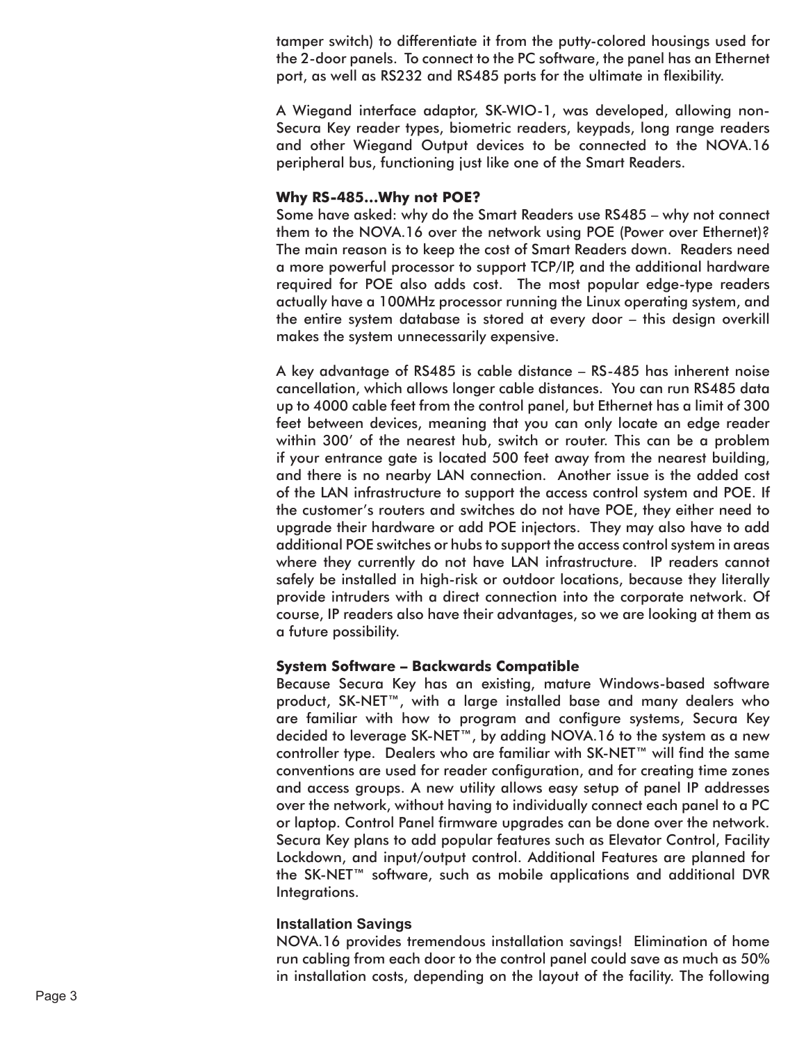tamper switch) to differentiate it from the putty-colored housings used for the 2-door panels. To connect to the PC software, the panel has an Ethernet port, as well as RS232 and RS485 ports for the ultimate in flexibility.<br>A Wiegand interface adaptor, SK-WIO-1, was developed, allowing non-

Secura Key reader types, biometric readers, keypads, long range readers and other Wiegand Output devices to be connected to the NOVA.16 peripheral bus, functioning just like one of the Smart Readers.

## **Why RS-485…Why not POE?**

Some have asked: why do the Smart Readers use RS485 – why not connect them to the NOVA.16 over the network using POE (Power over Ethernet)? The main reason is to keep the cost of Smart Readers down. Readers need a more powerful processor to support TCP/IP, and the additional hardware required for POE also adds cost. The most popular edge-type readers actually have a 100MHz processor running the Linux operating system, and the entire system database is stored at every door – this design overkill makes the system unnecessarily expensive.

A key advantage of RS485 is cable distance – RS-485 has inherent noise cancellation, which allows longer cable distances. You can run RS485 data up to 4000 cable feet from the control panel, but Ethernet has a limit of 300 feet between devices, meaning that you can only locate an edge reader within 300' of the nearest hub, switch or router. This can be a problem if your entrance gate is located 500 feet away from the nearest building, and there is no nearby LAN connection. Another issue is the added cost of the LAN infrastructure to support the access control system and POE. If the customer's routers and switches do not have POE, they either need to upgrade their hardware or add POE injectors. They may also have to add additional POE switches or hubs to support the access control system in areas where they currently do not have LAN infrastructure. IP readers cannot safely be installed in high-risk or outdoor locations, because they literally provide intruders with a direct connection into the corporate network. Of course, IP readers also have their advantages, so we are looking at them as a future possibility.

### **System Software – Backwards Compatible**

Because Secura Key has an existing, mature Windows-based software product, SK-NET™, with a large installed base and many dealers who are familiar with how to program and configure systems, Secura Key decided to leverage SK-NET™, by adding NOVA.16 to the system as a new controller type. Dealers who are familiar with SK-NET™ will find the same conventions are used for reader configuration, and for creating time zones and access groups. A new utility allows easy setup of panel IP addresses over the network, without having to individually connect each panel to a PC or laptop. Control Panel firmware upgrades can be done over the network. Secura Key plans to add popular features such as Elevator Control, Facility Lockdown, and input/output control. Additional Features are planned for the SK-NET™ software, such as mobile applications and additional DVR Integrations.

#### **Installation Savings**

NOVA.16 provides tremendous installation savings! Elimination of home run cabling from each door to the control panel could save as much as 50% in installation costs, depending on the layout of the facility. The following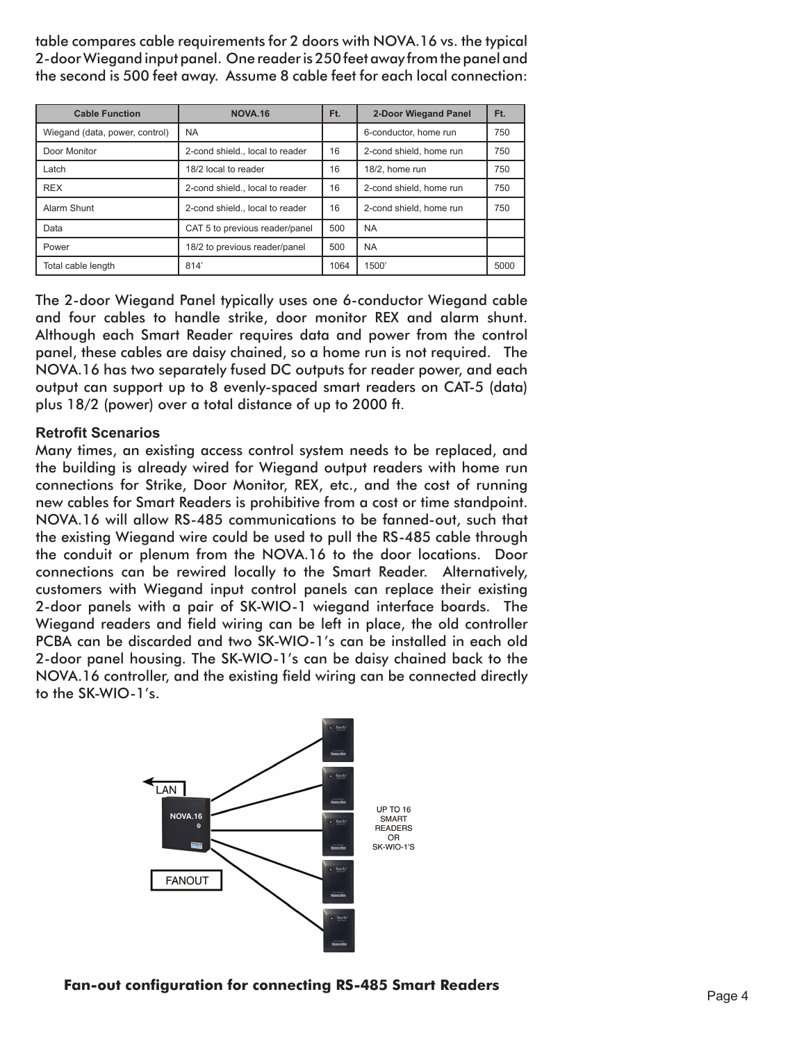table compares cable requirements for 2 doors with NOVA.16 vs. the typical 2-door Wiegand input panel. One reader is 250 feet away from the panel and the second is 500 feet away. Assume 8 cable feet for each local connection:

| <b>Cable Function</b>          | <b>NOVA.16</b>                  | Ft.  | <b>2-Door Wiegand Panel</b> | Ft.  |
|--------------------------------|---------------------------------|------|-----------------------------|------|
| Wiegand (data, power, control) | NA.                             |      | 6-conductor, home run       | 750  |
| Door Monitor                   | 2-cond shield., local to reader | 16   | 2-cond shield, home run     | 750  |
| Latch                          | 18/2 local to reader            | 16   | 18/2, home run              | 750  |
| <b>REX</b>                     | 2-cond shield., local to reader | 16   | 2-cond shield, home run     | 750  |
| Alarm Shunt                    | 2-cond shield., local to reader | 16   | 2-cond shield, home run     | 750  |
| Data                           | CAT 5 to previous reader/panel  | 500  | <b>NA</b>                   |      |
| Power                          | 18/2 to previous reader/panel   | 500  | <b>NA</b>                   |      |
| Total cable length             | 814'                            | 1064 | 1500'                       | 5000 |

The 2-door Wiegand Panel typically uses one 6-conductor Wiegand cable and four cables to handle strike, door monitor REX and alarm shunt. Although each Smart Reader requires data and power from the control panel, these cables are daisy chained, so a home run is not required. The NOVA.16 has two separately fused DC outputs for reader power, and each output can support up to 8 evenly-spaced smart readers on CAT-5 (data) plus 18/2 (power) over a total distance of up to 2000 ft.

## **Retrofit Scenarios**

Many times, an existing access control system needs to be replaced, and the building is already wired for Wiegand output readers with home run connections for Strike, Door Monitor, REX, etc., and the cost of running new cables for Smart Readers is prohibitive from a cost or time standpoint. NOVA.16 will allow RS-485 communications to be fanned-out, such that the existing Wiegand wire could be used to pull the RS-485 cable through the conduit or plenum from the NOVA.16 to the door locations. Door connections can be rewired locally to the Smart Reader. Alternatively, customers with Wiegand input control panels can replace their existing 2-door panels with a pair of SK-WIO-1 wiegand interface boards. The Wiegand readers and field wiring can be left in place, the old controller PCBA can be discarded and two SK-WIO-1's can be installed in each old 2-door panel housing. The SK-WIO-1's can be daisy chained back to the NOVA.16 controller, and the existing field wiring can be connected directly to the SK-WIO-1's.